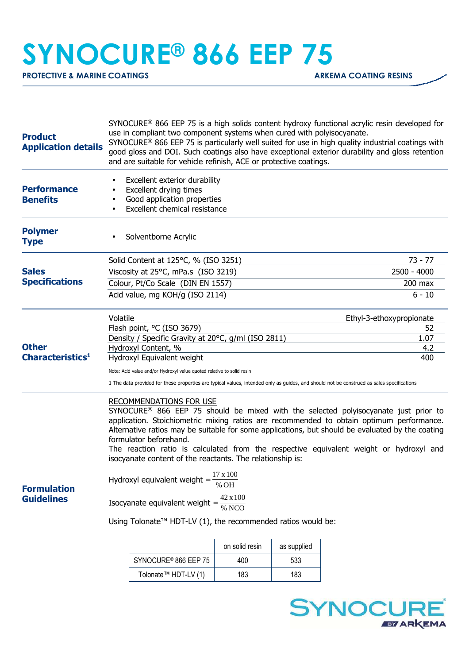## **SYNOCURE® 866 EEP 75**

**PROTECTIVE & MARINE COATINGS ARKEMA COATING RESINS** 

| <b>Product</b><br><b>Application details</b> | $SYNOCURE^@$ 866 EEP 75 is a high solids content hydroxy functional acrylic resin developed for<br>use in compliant two component systems when cured with polyisocyanate.<br>SYNOCURE <sup>®</sup> 866 EEP 75 is particularly well suited for use in high quality industrial coatings with<br>good gloss and DOI. Such coatings also have exceptional exterior durability and gloss retention<br>and are suitable for vehicle refinish, ACE or protective coatings.                                                                                                                                                                                                                                                                                                                                                |                                      |                          |     |          |  |
|----------------------------------------------|--------------------------------------------------------------------------------------------------------------------------------------------------------------------------------------------------------------------------------------------------------------------------------------------------------------------------------------------------------------------------------------------------------------------------------------------------------------------------------------------------------------------------------------------------------------------------------------------------------------------------------------------------------------------------------------------------------------------------------------------------------------------------------------------------------------------|--------------------------------------|--------------------------|-----|----------|--|
| <b>Performance</b><br><b>Benefits</b>        | Excellent exterior durability<br>$\bullet$<br>Excellent drying times<br>$\bullet$<br>Good application properties<br>Excellent chemical resistance                                                                                                                                                                                                                                                                                                                                                                                                                                                                                                                                                                                                                                                                  |                                      |                          |     |          |  |
| <b>Polymer</b><br><b>Type</b>                | ٠                                                                                                                                                                                                                                                                                                                                                                                                                                                                                                                                                                                                                                                                                                                                                                                                                  | Solventborne Acrylic                 |                          |     |          |  |
| <b>Sales</b><br><b>Specifications</b>        |                                                                                                                                                                                                                                                                                                                                                                                                                                                                                                                                                                                                                                                                                                                                                                                                                    | Solid Content at 125°C, % (ISO 3251) | 73 - 77                  |     |          |  |
|                                              |                                                                                                                                                                                                                                                                                                                                                                                                                                                                                                                                                                                                                                                                                                                                                                                                                    | Viscosity at 25°C, mPa.s (ISO 3219)  | 2500 - 4000              |     |          |  |
|                                              |                                                                                                                                                                                                                                                                                                                                                                                                                                                                                                                                                                                                                                                                                                                                                                                                                    | Colour, Pt/Co Scale (DIN EN 1557)    | $200$ max                |     |          |  |
|                                              | Acid value, mg KOH/g (ISO 2114)                                                                                                                                                                                                                                                                                                                                                                                                                                                                                                                                                                                                                                                                                                                                                                                    |                                      |                          |     | $6 - 10$ |  |
|                                              | Volatile                                                                                                                                                                                                                                                                                                                                                                                                                                                                                                                                                                                                                                                                                                                                                                                                           |                                      | Ethyl-3-ethoxypropionate |     |          |  |
|                                              |                                                                                                                                                                                                                                                                                                                                                                                                                                                                                                                                                                                                                                                                                                                                                                                                                    | Flash point, °C (ISO 3679)           | 52                       |     |          |  |
|                                              | Density / Specific Gravity at 20°C, g/ml (ISO 2811)<br>1.07                                                                                                                                                                                                                                                                                                                                                                                                                                                                                                                                                                                                                                                                                                                                                        |                                      |                          |     |          |  |
| <b>Other</b><br>Characteristics <sup>1</sup> |                                                                                                                                                                                                                                                                                                                                                                                                                                                                                                                                                                                                                                                                                                                                                                                                                    | Hydroxyl Content, %                  | 4.2<br>400               |     |          |  |
|                                              | Hydroxyl Equivalent weight                                                                                                                                                                                                                                                                                                                                                                                                                                                                                                                                                                                                                                                                                                                                                                                         |                                      |                          |     |          |  |
|                                              | Note: Acid value and/or Hydroxyl value quoted relative to solid resin<br>1 The data provided for these properties are typical values, intended only as guides, and should not be construed as sales specifications                                                                                                                                                                                                                                                                                                                                                                                                                                                                                                                                                                                                 |                                      |                          |     |          |  |
| <b>Formulation</b><br><b>Guidelines</b>      | <b>RECOMMENDATIONS FOR USE</b><br>SYNOCURE <sup>®</sup> 866 EEP 75 should be mixed with the selected polyisocyanate just prior to<br>application. Stoichiometric mixing ratios are recommended to obtain optimum performance.<br>Alternative ratios may be suitable for some applications, but should be evaluated by the coating<br>formulator beforehand.<br>The reaction ratio is calculated from the respective equivalent weight or hydroxyl and<br>isocyanate content of the reactants. The relationship is:<br>17 x 100<br>Hydroxyl equivalent weight =<br>% OH<br>$\frac{42 \times 100}{\% \text{ NCO}}$<br>Isocyanate equivalent weight =<br>Using Tolonate <sup>TM</sup> HDT-LV (1), the recommended ratios would be:<br>on solid resin<br>as supplied<br>SYNOCURE <sup>®</sup> 866 EEP 75<br>400<br>533 |                                      |                          |     |          |  |
|                                              |                                                                                                                                                                                                                                                                                                                                                                                                                                                                                                                                                                                                                                                                                                                                                                                                                    | Tolonate <sup>™</sup> HDT-LV (1)     | 183                      | 183 |          |  |
|                                              |                                                                                                                                                                                                                                                                                                                                                                                                                                                                                                                                                                                                                                                                                                                                                                                                                    |                                      |                          |     |          |  |